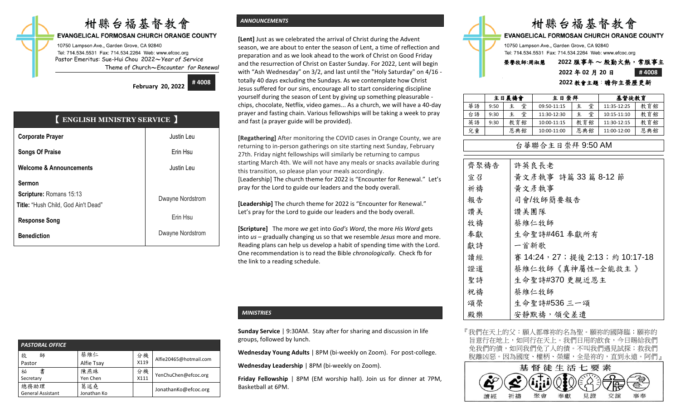# 柑縣台福基督教會

#### **EVANGELICAL FORMOSAN CHURCH ORANGE COUNTY**

10750 Lampson Ave., Garden Grove, CA 92840 Tel: 714.534.5531 Fax: 714.534.2264 Web: www.efcoc.org Pastor Emeritus: Sue-Hui Chou 2022〜*Year of Service* Theme of Church〜*Encounter for Renewal*

> **February 20, 2022 # 4008**

| <b>ENGLISH MINISTRY SERVICE</b>                                                 |                  |
|---------------------------------------------------------------------------------|------------------|
| <b>Corporate Prayer</b>                                                         | Justin Leu       |
| <b>Songs Of Praise</b>                                                          | Erin Hsu         |
| <b>Welcome &amp; Announcements</b>                                              | Justin Leu       |
| <b>Sermon</b><br>Scripture: Romans 15:13<br>Title: "Hush Child, God Ain't Dead" | Dwayne Nordstrom |
| <b>Response Song</b>                                                            | Erin Hsu         |
| <b>Benediction</b>                                                              | Dwayne Nordstrom |

| PASTORAL OFFICE                  |                    |            |                        |
|----------------------------------|--------------------|------------|------------------------|
| 牧<br>師<br>Pastor                 | 蔡維仁<br>Alfie Tsay  | 分機<br>X119 | Alfie20465@hotmail.com |
| 祕<br>書<br>Secretary              | 陳燕珠<br>Yen Chen    | 分機<br>X111 | YenChuChen@efcoc.org   |
| 總務助理<br><b>General Assistant</b> | 葛述堯<br>Jonathan Ko |            | JonathanKo@efcoc.org   |

General Assistant

#### *ANNOUNCEMENTS*

**[Lent]** Just as we celebrated the arrival of Christ during the Advent season, we are about to enter the season of Lent, a time of reflection and preparation and as we look ahead to the work of Christ on Good Friday and the resurrection of Christ on Easter Sunday. For 2022, Lent will begin with "Ash Wednesday" on 3/2, and last until the "Holy Saturday" on 4/16 totally 40 days excluding the Sundays. As we contemplate how Christ Jesus suffered for our sins, encourage all to start considering discipline yourself during the season of Lent by giving up something pleasurable chips, chocolate, Netflix, video games... As a church, we will have a 40-day prayer and fasting chain. Various fellowships will be taking a week to pray and fast (a prayer guide will be provided).

**[Regathering]** After monitoring the COVID cases in Orange County, we are returning to in-person gatherings on site starting next Sunday, February 27th. Friday night fellowships will similarly be returning to campus starting March 4th. We will not have any meals or snacks available during this transition, so please plan your meals accordingly. [Leadership] The church theme for 2022 is "Encounter for Renewal." Let's pray for the Lord to guide our leaders and the body overall.

**[Leadership]** The church theme for 2022 is "Encounter for Renewal." Let's pray for the Lord to guide our leaders and the body overall.

**[Scripture]** The more *we* get into *God's Word*, the more *His Word* gets into *us* – gradually changing us so that we resemble *Jesus* more and more. Reading plans can help us develop a habit of spending time with the Lord. One recommendation is to read the Bible *chronologically*. Check fb for the link to a reading schedule.

#### *MINISTRIES*

**Sunday Service** | 9:30AM. Stay after for sharing and discussion in life groups, followed by lunch.

**Wednesday Young Adults** | 8PM (bi-weekly on Zoom). For post-college.

**Wednesday Leadership** | 8PM (bi-weekly on Zoom).

**Friday Fellowship** | 8PM (EM worship hall). Join us for dinner at 7PM, Basketball at 6PM.



10750 Lampson Ave., Garden Grove, CA 92840 Tel: 714.534.5531 Fax: 714.534.2264 Web: www.efcoc.org

## 榮譽牧師**:**周淑慧 **2022** 服事年 〜 殷勤火熱,常服事主 **2022** 年 **02** 月 **20** 日 **# 4008**

## **2022** 教會主題:瞻仰主榮歷更新

|    |      | 主日晨禱會  | 主日崇拜        |     | 基督徒教育       |     |
|----|------|--------|-------------|-----|-------------|-----|
| 華語 | 9:50 | 堂<br>主 | 09:50-11:15 | 堂   | 11:35-12:25 | 教育館 |
| 台語 | 9:30 | 堂<br>主 | 11:30-12:30 | 堂   | 10:15-11:10 | 教育館 |
| 英語 | 9:30 | 教育館    | 10:00-11:15 | 教育館 | 11:30-12:15 | 教育館 |
| 兒童 |      | 恩典館    | 10:00-11:00 | 恩典館 | 11:00-12:00 | 恩典館 |

### 台華聯合主日崇拜 9:50 AM

| 齊聚禱告 | 許英良長老                            |
|------|----------------------------------|
| 宣召   | 黃文彥執事 詩篇 33 篇 8-12 節             |
| 祈禱   | 黃文彥執事                            |
| 報告   | 司會/牧師簡要報告                        |
| 讚美   | 讚美團隊                             |
| 牧禱   | 蔡維仁牧師                            |
| 奉獻   | 生命聖詩#461 奉獻所有                    |
| 獻詩   | 一首新歌                             |
| 讀經   | 賽 14:24, 27; 提後 2:13; 約 10:17-18 |
| 證道   | 蔡維仁牧師《真神屬性-全能救主》                 |
| 聖詩   | 生命聖詩#370更親近恩主                    |
| 祝禱   | 蔡維仁牧師                            |
| 頌榮   | 生命聖詩#536 三一頌                     |
| 殿樂   | 安靜默禱, 領受差遣                       |

『我們在天上的父:願人都尊祢的名為聖。願祢的國降臨;願祢的 旨意行在地上,如同行在天上。我們日用的飲食,今日賜給我們 免我們的債,如同我們免了人的債。不叫我們遇見試探;救我們 脫離凶惡。因為國度、權柄、榮耀,全是祢的,直到永遠。阿們』